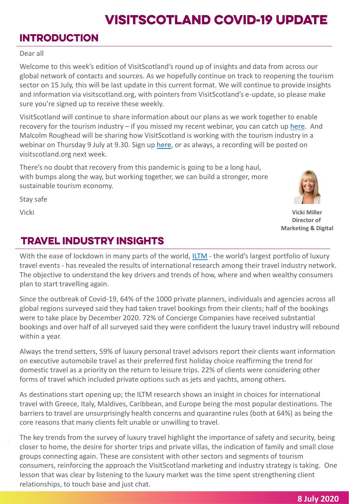## **INTRODUCTION**

#### Dear all

Welcome to this week's edition of VisitScotland's round up of insights and data from across our global network of contacts and sources. As we hopefully continue on track to reopening the tourism sector on 15 July, this will be last update in this current format. We will continue to provide insights and information via visitscotland.org, with pointers from VisitScotland's e-update, so please make sure you're signed up to receive these weekly.

VisitScotland will continue to share information about our plans as we work together to enable recovery for the tourism industry – if you missed my recent webinar, you can catch up [here.](https://www.visitscotland.org/events/industry-events/webinars-training) And Malcolm Roughead will be sharing how VisitScotland is working with the tourism industry in a webinar on Thursday 9 July at 9.30. Sign up [here](https://www.visitscotland.org/events/industry-events/events-training/visitscotland-webinar-with-malcolm-roughead), or as always, a recording will be posted on visitscotland.org next week.

There's no doubt that recovery from this pandemic is going to be a long haul, with bumps along the way, but working together, we can build a stronger, more sustainable tourism economy.

Stay safe

Vicki



**Vicki Miller Director of Marketing & Digital**

## **TRAVEL INDUSTRY INSIGHTS**

With the ease of lockdown in many parts of the world, [ILTM](https://view.iltm.com/2020/07/03/iltm-data-reveals-key-global-insights/) - the world's largest portfolio of luxury travel events - has revealed the results of international research among their travel industry network. The objective to understand the key drivers and trends of how, where and when wealthy consumers plan to start travelling again.

Since the outbreak of Covid-19, 64% of the 1000 private planners, individuals and agencies across all global regions surveyed said they had taken travel bookings from their clients; half of the bookings were to take place by December 2020. 72% of Concierge Companies have received substantial bookings and over half of all surveyed said they were confident the luxury travel industry will rebound within a year.

Always the trend setters, 59% of luxury personal travel advisors report their clients want information on executive automobile travel as their preferred first holiday choice reaffirming the trend for domestic travel as a priority on the return to leisure trips. 22% of clients were considering other forms of travel which included private options such as jets and yachts, among others.

As destinations start opening up; the ILTM research shows an insight in choices for international travel with Greece, Italy, Maldives, Caribbean, and Europe being the most popular destinations. The barriers to travel are unsurprisingly health concerns and quarantine rules (both at 64%) as being the core reasons that many clients felt unable or unwilling to travel.

The key trends from the survey of luxury travel highlight the importance of safety and security, being closer to home, the desire for shorter trips and private villas, the indication of family and small close groups connecting again. These are consistent with other sectors and segments of tourism consumers, reinforcing the approach the VisitScotland marketing and industry strategy is taking. One lesson that was clear by listening to the luxury market was the time spent strengthening client relationships, to touch base and just chat.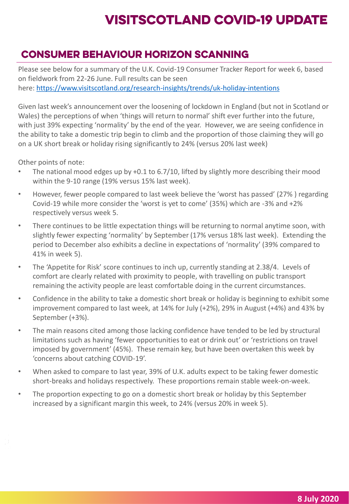#### **CONSUMER BEHAVIOUR HORIZON SCANNING**

Please see below for a summary of the U.K. Covid-19 Consumer Tracker Report for week 6, based on fieldwork from 22-26 June. Full results can be seen here: <https://www.visitscotland.org/research-insights/trends/uk-holiday-intentions>

Given last week's announcement over the loosening of lockdown in England (but not in Scotland or Wales) the perceptions of when 'things will return to normal' shift ever further into the future, with just 39% expecting 'normality' by the end of the year. However, we are seeing confidence in the ability to take a domestic trip begin to climb and the proportion of those claiming they will go on a UK short break or holiday rising significantly to 24% (versus 20% last week)

Other points of note:

- The national mood edges up by +0.1 to 6.7/10, lifted by slightly more describing their mood within the 9-10 range (19% versus 15% last week).
- However, fewer people compared to last week believe the 'worst has passed' (27% ) regarding Covid-19 while more consider the 'worst is yet to come' (35%) which are -3% and +2% respectively versus week 5.
- There continues to be little expectation things will be returning to normal anytime soon, with slightly fewer expecting 'normality' by September (17% versus 18% last week). Extending the period to December also exhibits a decline in expectations of 'normality' (39% compared to 41% in week 5).
- The 'Appetite for Risk' score continues to inch up, currently standing at 2.38/4. Levels of comfort are clearly related with proximity to people, with travelling on public transport remaining the activity people are least comfortable doing in the current circumstances.
- Confidence in the ability to take a domestic short break or holiday is beginning to exhibit some improvement compared to last week, at 14% for July (+2%), 29% in August (+4%) and 43% by September (+3%).
- The main reasons cited among those lacking confidence have tended to be led by structural limitations such as having 'fewer opportunities to eat or drink out' or 'restrictions on travel imposed by government' (45%). These remain key, but have been overtaken this week by 'concerns about catching COVID-19'.
- When asked to compare to last year, 39% of U.K. adults expect to be taking fewer domestic short-breaks and holidays respectively. These proportions remain stable week-on-week.
- The proportion expecting to go on a domestic short break or holiday by this September increased by a significant margin this week, to 24% (versus 20% in week 5).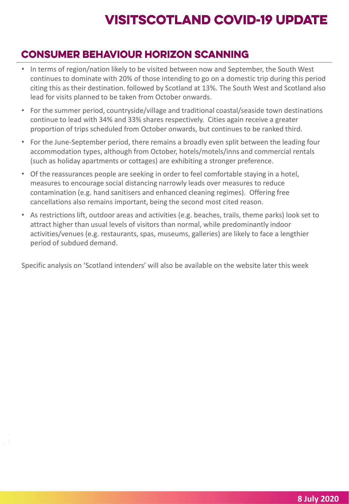#### **CONSUMER BEHAVIOUR HORIZON SCANNING**

- In terms of region/nation likely to be visited between now and September, the South West continues to dominate with 20% of those intending to go on a domestic trip during this period citing this as their destination. followed by Scotland at 13%. The South West and Scotland also lead for visits planned to be taken from October onwards.
- For the summer period, countryside/village and traditional coastal/seaside town destinations continue to lead with 34% and 33% shares respectively. Cities again receive a greater proportion of trips scheduled from October onwards, but continues to be ranked third.
- For the June-September period, there remains a broadly even split between the leading four accommodation types, although from October, hotels/motels/inns and commercial rentals (such as holiday apartments or cottages) are exhibiting a stronger preference.
- Of the reassurances people are seeking in order to feel comfortable staying in a hotel, measures to encourage social distancing narrowly leads over measures to reduce contamination (e.g. hand sanitisers and enhanced cleaning regimes). Offering free cancellations also remains important, being the second most cited reason.
- As restrictions lift, outdoor areas and activities (e.g. beaches, trails, theme parks) look set to attract higher than usual levels of visitors than normal, while predominantly indoor activities/venues (e.g. restaurants, spas, museums, galleries) are likely to face a lengthier period of subdued demand.

Specific analysis on 'Scotland intenders' will also be available on the website later this week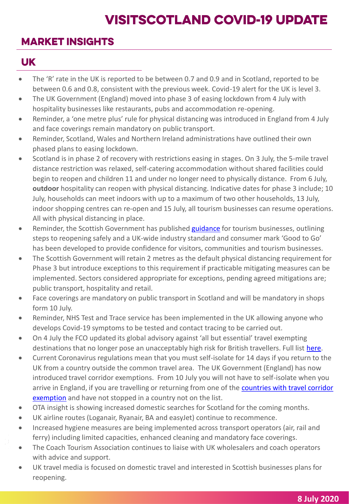## **MARKET INSIGHTS**

#### **UK**

- The 'R' rate in the UK is reported to be between 0.7 and 0.9 and in Scotland, reported to be between 0.6 and 0.8, consistent with the previous week. Covid-19 alert for the UK is level 3.
- The UK Government (England) moved into phase 3 of easing lockdown from 4 July with hospitality businesses like restaurants, pubs and accommodation re-opening.
- Reminder, a 'one metre plus' rule for physical distancing was introduced in England from 4 July and face coverings remain mandatory on public transport.
- Reminder, Scotland, Wales and Northern Ireland administrations have outlined their own phased plans to easing lockdown.
- Scotland is in phase 2 of recovery with restrictions easing in stages. On 3 July, the 5-mile travel distance restriction was relaxed, self-catering accommodation without shared facilities could begin to reopen and children 11 and under no longer need to physically distance. From 6 July, **outdoor** hospitality can reopen with physical distancing. Indicative dates for phase 3 include; 10 July, households can meet indoors with up to a maximum of two other households, 13 July, indoor shopping centres can re-open and 15 July, all tourism businesses can resume operations. All with physical distancing in place.
- Reminder, the Scottish Government has published [guidance](https://www.gov.scot/publications/coronavirus-covid-19-tourism-and-hospitality-sector-guidance/) for tourism businesses, outlining steps to reopening safely and a UK-wide industry standard and consumer mark 'Good to Go' has been developed to provide confidence for visitors, communities and tourism businesses.
- The Scottish Government will retain 2 metres as the default physical distancing requirement for Phase 3 but introduce exceptions to this requirement if practicable mitigating measures can be implemented. Sectors considered appropriate for exceptions, pending agreed mitigations are; public transport, hospitality and retail.
- Face coverings are mandatory on public transport in Scotland and will be mandatory in shops form 10 July.
- Reminder, NHS Test and Trace service has been implemented in the UK allowing anyone who develops Covid-19 symptoms to be tested and contact tracing to be carried out.
- On 4 July the FCO updated its global advisory against 'all but essential' travel exempting destinations that no longer pose an unacceptably high risk for British travellers. Full list [here](https://www.gov.uk/guidance/coronavirus-covid-19-countries-and-territories-exempt-from-advice-against-all-but-essential-international-travel).
- Current Coronavirus regulations mean that you must self-isolate for 14 days if you return to the UK from a country outside the common travel area. The UK Government (England) has now introduced travel corridor exemptions. From 10 July you will not have to self-isolate when you arrive in England, if you are travelling or returning from one of the **countries with travel corridor** exemption and have not stopped in a country not on the list.
- OTA insight is showing increased domestic searches for Scotland for the coming months.
- UK airline routes (Loganair, Ryanair, BA and easyJet) continue to recommence.
- Increased hygiene measures are being implemented across transport operators (air, rail and ferry) including limited capacities, enhanced cleaning and mandatory face coverings.
- The Coach Tourism Association continues to liaise with UK wholesalers and coach operators with advice and support.
- UK travel media is focused on domestic travel and interested in Scottish businesses plans for reopening.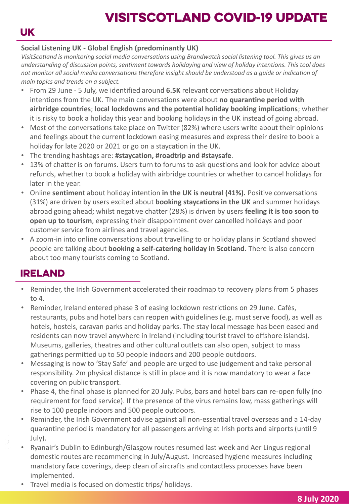## **UK**

# **VISITSCOTLAND COVID-19 UPDATE**

#### **Social Listening UK - Global English (predominantly UK)**

*VisitScotland is monitoring social media conversations using Brandwatch social listening tool. This gives us an understanding of discussion points, sentiment towards holidaying and view of holiday intentions. This tool does not monitor all social media conversations therefore insight should be understood as a guide or indication of main topics and trends on a subject.*

- From 29 June 5 July, we identified around **6.5K** relevant conversations about Holiday intentions from the UK. The main conversations were about **no quarantine period with airbridge countries**; **local lockdowns and the potential holiday booking implications**; whether it is risky to book a holiday this year and booking holidays in the UK instead of going abroad.
- Most of the conversations take place on Twitter (82%) where users write about their opinions and feelings about the current lockdown easing measures and express their desire to book a holiday for late 2020 or 2021 or go on a staycation in the UK.
- The trending hashtags are: **#staycation, #roadtrip and #staysafe**.
- 13% of chatter is on forums. Users turn to forums to ask questions and look for advice about refunds, whether to book a holiday with airbridge countries or whether to cancel holidays for later in the year.
- Online **sentimen**t about holiday intention **in the UK is neutral (41%).** Positive conversations (31%) are driven by users excited about **booking staycations in the UK** and summer holidays abroad going ahead; whilst negative chatter (28%) is driven by users **feeling it is too soon to open up to tourism**, expressing their disappointment over cancelled holidays and poor customer service from airlines and travel agencies.
- A zoom-in into online conversations about travelling to or holiday plans in Scotland showed people are talking about **booking a self-catering holiday in Scotland.** There is also concern about too many tourists coming to Scotland.

#### **IRELAND**

- Reminder, the Irish Government accelerated their roadmap to recovery plans from 5 phases to 4.
- Reminder, Ireland entered phase 3 of easing lockdown restrictions on 29 June. Cafés, restaurants, pubs and hotel bars can reopen with guidelines (e.g. must serve food), as well as hotels, hostels, caravan parks and holiday parks. The stay local message has been eased and residents can now travel anywhere in Ireland (including tourist travel to offshore islands). Museums, galleries, theatres and other cultural outlets can also open, subject to mass gatherings permitted up to 50 people indoors and 200 people outdoors.
- Messaging is now to 'Stay Safe' and people are urged to use judgement and take personal responsibility. 2m physical distance is still in place and it is now mandatory to wear a face covering on public transport.
- Phase 4, the final phase is planned for 20 July. Pubs, bars and hotel bars can re-open fully (no requirement for food service). If the presence of the virus remains low, mass gatherings will rise to 100 people indoors and 500 people outdoors.
- Reminder, the Irish Government advise against all non-essential travel overseas and a 14-day quarantine period is mandatory for all passengers arriving at Irish ports and airports (until 9 July).
- Ryanair's Dublin to Edinburgh/Glasgow routes resumed last week and Aer Lingus regional domestic routes are recommencing in July/August. Increased hygiene measures including mandatory face coverings, deep clean of aircrafts and contactless processes have been implemented.
- Travel media is focused on domestic trips/ holidays.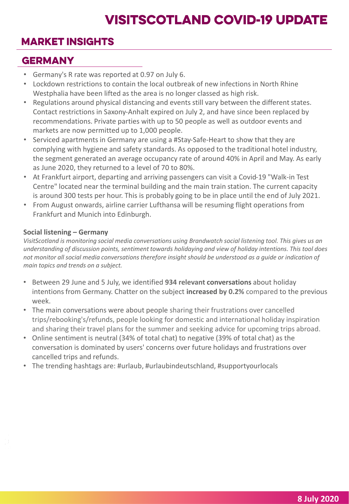## **MARKET INSIGHTS**

## **GERMANY**

- Germany's R rate was reported at 0.97 on July 6.
- Lockdown restrictions to contain the local outbreak of new infections in North Rhine Westphalia have been lifted as the area is no longer classed as high risk.
- Regulations around physical distancing and events still vary between the different states. Contact restrictions in Saxony-Anhalt expired on July 2, and have since been replaced by recommendations. Private parties with up to 50 people as well as outdoor events and markets are now permitted up to 1,000 people.
- Serviced apartments in Germany are using a #Stay-Safe-Heart to show that they are complying with hygiene and safety standards. As opposed to the traditional hotel industry, the segment generated an average occupancy rate of around 40% in April and May. As early as June 2020, they returned to a level of 70 to 80%.
- At Frankfurt airport, departing and arriving passengers can visit a Covid-19 "Walk-in Test Centre" located near the terminal building and the main train station. The current capacity is around 300 tests per hour. This is probably going to be in place until the end of July 2021.
- From August onwards, airline carrier Lufthansa will be resuming flight operations from Frankfurt and Munich into Edinburgh.

#### **Social listening – Germany**

*VisitScotland is monitoring social media conversations using Brandwatch social listening tool. This gives us an understanding of discussion points, sentiment towards holidaying and view of holiday intentions. This tool does not monitor all social media conversations therefore insight should be understood as a guide or indication of main topics and trends on a subject.*

- Between 29 June and 5 July, we identified **934 relevant conversations** about holiday intentions from Germany. Chatter on the subject **increased by 0.2%** compared to the previous week.
- The main conversations were about people sharing their frustrations over cancelled trips/rebooking's/refunds, people looking for domestic and international holiday inspiration and sharing their travel plans for the summer and seeking advice for upcoming trips abroad.
- Online sentiment is neutral (34% of total chat) to negative (39% of total chat) as the conversation is dominated by users' concerns over future holidays and frustrations over cancelled trips and refunds.
- The trending hashtags are: #urlaub, #urlaubindeutschland, #supportyourlocals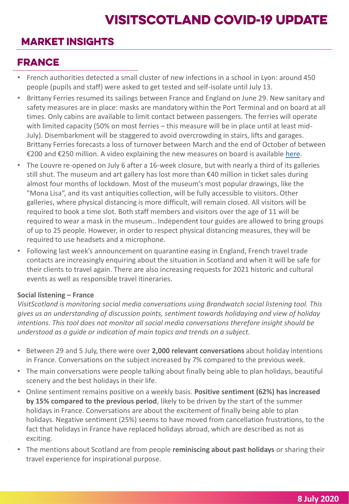## **MARKET INSIGHTS**

## **FRANCE**

- French authorities detected a small cluster of new infections in a school in Lyon: around 450 people (pupils and staff) were asked to get tested and self-isolate until July 13.
- Brittany Ferries resumed its sailings between France and England on June 29. New sanitary and safety measures are in place: masks are mandatory within the Port Terminal and on board at all times. Only cabins are available to limit contact between passengers. The ferries will operate with limited capacity (50% on most ferries – this measure will be in place until at least mid-July). Disembarkment will be staggered to avoid overcrowding in stairs, lifts and garages. Brittany Ferries forecasts a loss of turnover between March and the end of October of between €200 and €250 million. A video explaining the new measures on board is available [here.](https://www.youtube.com/watch?v=15YZeOKUHHk)
- The Louvre re-opened on July 6 after a 16-week closure, but with nearly a third of its galleries still shut. The museum and art gallery has lost more than  $\epsilon$ 40 million in ticket sales during almost four months of lockdown. Most of the museum's most popular drawings, like the "Mona Lisa", and its vast antiquities collection, will be fully accessible to visitors. Other galleries, where physical distancing is more difficult, will remain closed. All visitors will be required to book a time slot. Both staff members and visitors over the age of 11 will be required to wear a mask in the museum.. Independent tour guides are allowed to bring groups of up to 25 people. However, in order to respect physical distancing measures, they will be required to use headsets and a microphone.
- Following last week's announcement on quarantine easing in England, French travel trade contacts are increasingly enquiring about the situation in Scotland and when it will be safe for their clients to travel again. There are also increasing requests for 2021 historic and cultural events as well as responsible travel itineraries.

#### **Social listening – France**

*VisitScotland is monitoring social media conversations using Brandwatch social listening tool. This gives us an understanding of discussion points, sentiment towards holidaying and view of holiday intentions. This tool does not monitor all social media conversations therefore insight should be understood as a guide or indication of main topics and trends on a subject.*

- Between 29 and 5 July, there were over **2,000 relevant conversations** about holiday intentions in France. Conversations on the subject increased by 7% compared to the previous week.
- The main conversations were people talking about finally being able to plan holidays, beautiful scenery and the best holidays in their life.
- Online sentiment remains positive on a weekly basis. **Positive sentiment (62%) has increased by 15% compared to the previous period**, likely to be driven by the start of the summer holidays in France. Conversations are about the excitement of finally being able to plan holidays. Negative sentiment (25%) seems to have moved from cancellation frustrations, to the fact that holidays in France have replaced holidays abroad, which are described as not as exciting.
- The mentions about Scotland are from people **reminiscing about past holidays** or sharing their travel experience for inspirational purpose.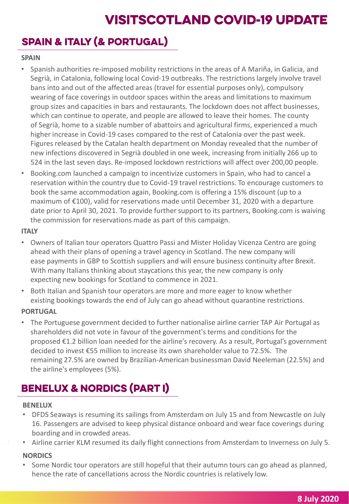# **SPAIN & ITALY (& PORTUGAL)**

#### **SPAIN**

- Spanish authorities re-imposed mobility restrictions in the areas of A Mariña, in Galicia, and Segrià, in Catalonia, following local Covid-19 outbreaks. The restrictions largely involve travel bans into and out of the affected areas (travel for essential purposes only), compulsory wearing of face coverings in outdoor spaces within the areas and limitations to maximum group sizes and capacities in bars and restaurants. The lockdown does not affect businesses, which can continue to operate, and people are allowed to leave their homes. The county of Segrià, home to a sizable number of abattoirs and agricultural firms, experienced a much higher increase in Covid-19 cases compared to the rest of Catalonia over the past week. Figures released by the Catalan health department on Monday revealed that the number of new infections discovered in Segrià doubled in one week, increasing from initially 266 up to 524 in the last seven days. Re-imposed lockdown restrictions will affect over 200,00 people.
- Booking.com launched a campaign to incentivize customers in Spain, who had to cancel a reservation within the country due to Covid-19 travel restrictions. To encourage customers to book the same accommodation again, Booking.com is offering a 15% discount (up to a maximum of €100), valid for reservations made until December 31, 2020 with a departure date prior to April 30, 2021. To provide further support to its partners, Booking.com is waiving the commission for reservations made as part of this campaign.

#### **ITALY**

- Owners of Italian tour operators Quattro Passi and Mister Holiday Vicenza Centro are going ahead with their plans of opening a travel agency in Scotland. The new company will ease payments in GBP to Scottish suppliers and will ensure business continuity after Brexit. With many Italians thinking about staycations this year, the new company is only expecting new bookings for Scotland to commence in 2021.
- Both Italian and Spanish tour operators are more and more eager to know whether existing bookings towards the end of July can go ahead without quarantine restrictions.

#### **PORTUGAL**

• The Portuguese government decided to further nationalise airline carrier TAP Air Portugal as shareholders did not vote in favour of the government's terms and conditions for the proposed €1.2 billion loan needed for the airline's recovery. As a result, Portugal's government decided to invest €55 million to increase its own shareholder value to 72.5%. The remaining 27.5% are owned by Brazilian-American businessman David Neeleman (22.5%) and the airline's employees (5%).

# **BENELUX & NORDICS (PART I)**

#### **BENELUX**

- DFDS Seaways is resuming its sailings from Amsterdam on July 15 and from Newcastle on July 16. Passengers are advised to keep physical distance onboard and wear face coverings during boarding and in crowded areas.
- Airline carrier KLM resumed its daily flight connections from Amsterdam to Inverness on July 5.

#### **NORDICS**

• Some Nordic tour operators are still hopeful that their autumn tours can go ahead as planned, hence the rate of cancellations across the Nordic countries is relatively low.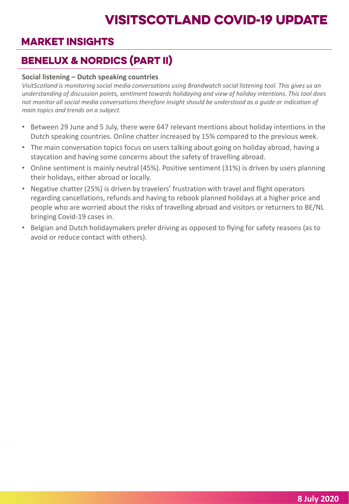#### **MARKET INSIGHTS**

## **BENELUX & NORDICS (PART II)**

#### **Social listening – Dutch speaking countries**

*VisitScotland is monitoring social media conversations using Brandwatch social listening tool. This gives us an understanding of discussion points, sentiment towards holidaying and view of holiday intentions. This tool does not monitor all social media conversations therefore insight should be understood as a guide or indication of main topics and trends on a subject.*

- Between 29 June and 5 July, there were 647 relevant mentions about holiday intentions in the Dutch speaking countries. Online chatter increased by 15% compared to the previous week.
- The main conversation topics focus on users talking about going on holiday abroad, having a staycation and having some concerns about the safety of travelling abroad.
- Online sentiment is mainly neutral (45%). Positive sentiment (31%) is driven by users planning their holidays, either abroad or locally.
- Negative chatter (25%) is driven by travelers' frustration with travel and flight operators regarding cancellations, refunds and having to rebook planned holidays at a higher price and people who are worried about the risks of travelling abroad and visitors or returners to BE/NL bringing Covid-19 cases in.
- Belgian and Dutch holidaymakers prefer driving as opposed to flying for safety reasons (as to avoid or reduce contact with others).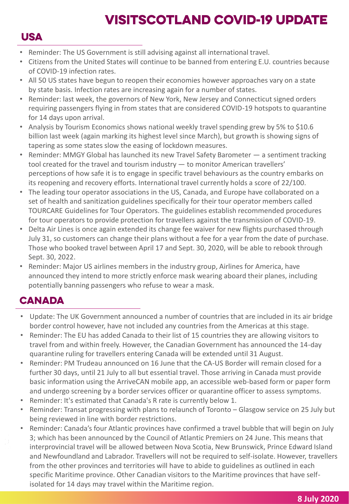### **USA**

- Reminder: The US Government is still advising against all international travel.
- Citizens from the United States will continue to be banned from entering E.U. countries because of COVID-19 infection rates.
- All 50 US states have begun to reopen their economies however approaches vary on a state by state basis. Infection rates are increasing again for a number of states.
- Reminder: last week, the governors of New York, New Jersey and Connecticut signed orders requiring passengers flying in from states that are considered COVID-19 hotspots to quarantine for 14 days upon arrival.
- Analysis by Tourism Economics shows national weekly travel spending grew by 5% to \$10.6 billion last week (again marking its highest level since March), but growth is showing signs of tapering as some states slow the easing of lockdown measures.
- Reminder: MMGY Global has launched its new Travel Safety Barometer a sentiment tracking tool created for the travel and tourism industry — to monitor American travellers' perceptions of how safe it is to engage in specific travel behaviours as the country embarks on its reopening and recovery efforts. International travel currently holds a score of 22/100.
- The leading tour operator associations in the US, Canada, and Europe have collaborated on a set of health and sanitization guidelines specifically for their tour operator members called TOURCARE Guidelines for Tour Operators. The guidelines establish recommended procedures for tour operators to provide protection for travellers against the transmission of COVID-19.
- Delta Air Lines is once again extended its change fee waiver for new flights purchased through July 31, so customers can change their plans without a fee for a year from the date of purchase. Those who booked travel between April 17 and Sept. 30, 2020, will be able to rebook through Sept. 30, 2022.
- Reminder: Major US airlines members in the industry group, Airlines for America, have announced they intend to more strictly enforce mask wearing aboard their planes, including potentially banning passengers who refuse to wear a mask.

#### **CANADA**

- Update: The UK Government announced a number of countries that are included in its air bridge border control however, have not included any countries from the Americas at this stage.
- Reminder: The EU has added Canada to their list of 15 countries they are allowing visitors to travel from and within freely. However, the Canadian Government has announced the 14-day quarantine ruling for travellers entering Canada will be extended until 31 August.
- Reminder: PM Trudeau announced on 16 June that the CA-US Border will remain closed for a further 30 days, until 21 July to all but essential travel. Those arriving in Canada must provide basic information using the ArriveCAN mobile app, an accessible web-based form or paper form and undergo screening by a border services officer or quarantine officer to assess symptoms.
- Reminder: It's estimated that Canada's R rate is currently below 1.
- Reminder: Transat progressing with plans to relaunch of Toronto Glasgow service on 25 July but being reviewed in line with border restrictions.
- Reminder: Canada's four Atlantic provinces have confirmed a travel bubble that will begin on July 3; which has been announced by the Council of Atlantic Premiers on 24 June. This means that interprovincial travel will be allowed between Nova Scotia, New Brunswick, Prince Edward Island and Newfoundland and Labrador. Travellers will not be required to self-isolate. However, travellers from the other provinces and territories will have to abide to guidelines as outlined in each specific Maritime province. Other Canadian visitors to the Maritime provinces that have selfisolated for 14 days may travel within the Maritime region.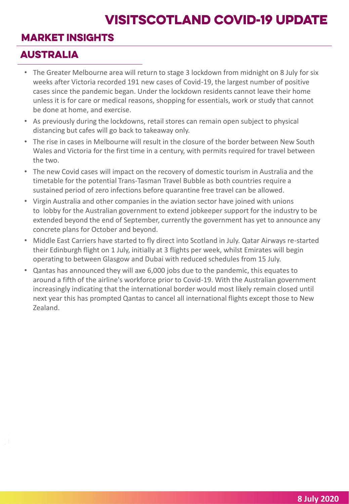## **MARKET INSIGHTS**

## **AUSTRALIA**

- The Greater Melbourne area will return to stage 3 lockdown from midnight on 8 July for six weeks after Victoria recorded 191 new cases of Covid-19, the largest number of positive cases since the pandemic began. Under the lockdown residents cannot leave their home unless it is for care or medical reasons, shopping for essentials, work or study that cannot be done at home, and exercise.
- As previously during the lockdowns, retail stores can remain open subject to physical distancing but cafes will go back to takeaway only.
- The rise in cases in Melbourne will result in the closure of the border between New South Wales and Victoria for the first time in a century, with permits required for travel between the two.
- The new Covid cases will impact on the recovery of domestic tourism in Australia and the timetable for the potential Trans-Tasman Travel Bubble as both countries require a sustained period of zero infections before quarantine free travel can be allowed.
- Virgin Australia and other companies in the aviation sector have joined with unions to lobby for the Australian government to extend jobkeeper support for the industry to be extended beyond the end of September, currently the government has yet to announce any concrete plans for October and beyond.
- Middle East Carriers have started to fly direct into Scotland in July. Qatar Airways re-started their Edinburgh flight on 1 July, initially at 3 flights per week, whilst Emirates will begin operating to between Glasgow and Dubai with reduced schedules from 15 July.
- Qantas has announced they will axe 6,000 jobs due to the pandemic, this equates to around a fifth of the airline's workforce prior to Covid-19. With the Australian government increasingly indicating that the international border would most likely remain closed until next year this has prompted Qantas to cancel all international flights except those to New Zealand.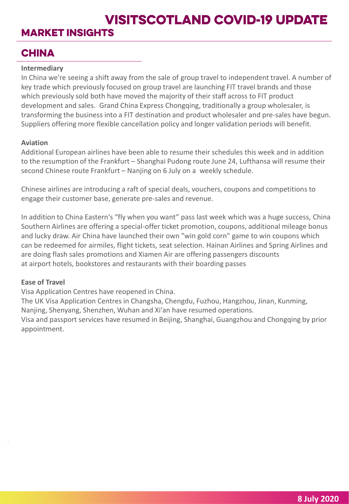## **MARKET INSIGHTS**

# **VISITSCOTLAND COVID-19 UPDATE**

## **CHINA**

#### **Intermediary**

In China we're seeing a shift away from the sale of group travel to independent travel. A number of key trade which previously focused on group travel are launching FIT travel brands and those which previously sold both have moved the majority of their staff across to FIT product development and sales. Grand China Express Chongqing, traditionally a group wholesaler, is transforming the business into a FIT destination and product wholesaler and pre-sales have begun. Suppliers offering more flexible cancellation policy and longer validation periods will benefit.

#### **Aviation**

Additional European airlines have been able to resume their schedules this week and in addition to the resumption of the Frankfurt – Shanghai Pudong route June 24, Lufthansa will resume their second Chinese route Frankfurt – Nanjing on 6 July on a weekly schedule.

Chinese airlines are introducing a raft of special deals, vouchers, coupons and competitions to engage their customer base, generate pre-sales and revenue.

In addition to China Eastern's "fly when you want" pass last week which was a huge success, China Southern Airlines are offering a special-offer ticket promotion, coupons, additional mileage bonus and lucky draw. Air China have launched their own "win gold corn" game to win coupons which can be redeemed for airmiles, flight tickets, seat selection. Hainan Airlines and Spring Airlines and are doing flash sales promotions and Xiamen Air are offering passengers discounts at airport hotels, bookstores and restaurants with their boarding passes

#### **Ease of Travel**

Visa Application Centres have reopened in China.

The UK Visa Application Centres in Changsha, Chengdu, Fuzhou, Hangzhou, Jinan, Kunming,

Nanjing, Shenyang, Shenzhen, Wuhan and Xi'an have resumed operations.

Visa and passport services have resumed in Beijing, Shanghai, Guangzhou and Chongqing by prior appointment.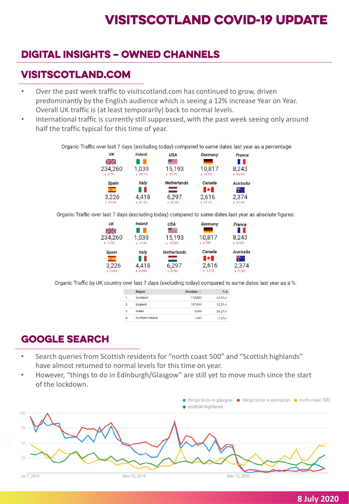#### **DIGITAL INSIGHTS - OWNED CHANNELS**

#### **VISITSCOTLAND.COM**

- Over the past week traffic to visitscotland.com has continued to grow, driven predominantly by the English audience which is seeing a 12% increase Year on Year. Overall UK traffic is (at least temporarily) back to normal levels.
- International traffic is currently still suppressed, with the past week seeing only around half the traffic typical for this time of year.

Organic Traffic over last 7 days (excluding today) compared to same dates last year as a percentage:

| UK<br>$\frac{N}{N}$<br>234,260<br>$4 - 0.7%$         | Ireland<br><b>TELESCO</b><br>1,039<br>$1 - 52.1%$ | USA<br>$\equiv$<br>15,193<br>$4 - 55.0%$   | Germany<br>10,817<br>$1 - 38.5%$      | <b>France</b><br>. .<br>8,243<br>$4 - 44.0%$ |
|------------------------------------------------------|---------------------------------------------------|--------------------------------------------|---------------------------------------|----------------------------------------------|
| Spain<br>$\mathcal{R}^{\pm}$<br>3,226<br>$4 - 66.5%$ | Italy<br>. .<br>4,418<br>$4 - 61.3%$              | <b>Netherlands</b><br>6,297<br>$4 - 43.0%$ | Canada<br>∎÷∎<br>2,616<br>$1 - 61.1%$ | Australia<br>半<br>2,374<br>$4 - 69.0%$       |

Organic Traffic over last 7 days (excluding today) compared to same dates last year as absolute figures:

| UK<br>$\frac{\sum k}{\sum k}$<br>234,260<br>$-1,542$ | Ireland<br>1,039<br>$+1,130$ | <b>USA</b><br>$=$<br>15,193<br>$1 - 18,582$ | Germany<br>10,817<br>$-6,759$ | <b>France</b><br>. .<br>8,243<br>$4 - 6,468$ |
|------------------------------------------------------|------------------------------|---------------------------------------------|-------------------------------|----------------------------------------------|
| <b>Spain</b>                                         | Italy                        | <b>Netherlands</b>                          | Canada                        | Australia                                    |
| $\mathbf{c}$                                         | . .                          |                                             | ∎⊷∎                           | ᢟ                                            |
| 3,226                                                | 4,418                        | 6,297                                       | 2,616                         | 2,374                                        |
| $-6,416$                                             | $-6,996$                     | $4 - 4.742$                                 | $4 - 4.112$                   | $-5,280$                                     |

Organic Traffic by UK country over last 7 days (excluding today) compared to same dates last year as a %:

|          | Region           | Sessions $\sim$ | $%$ $\Delta$ |
|----------|------------------|-----------------|--------------|
| 1.       | Scotland         | 118,883         | $-10.9%$     |
| 2.       | England          | 107,844         | 12.5% t      |
| 3.       | Wales            | 2,698           | 34.2% t      |
| $\Delta$ | Northern Ireland | 1.643           | $-7.2%$      |

## **GOOGLE SEARCH**

- Search queries from Scottish residents for "north coast 500" and "Scottish highlands" have almost returned to normal levels for this time on year.
- However, "things to do in Edinburgh/Glasgow" are still yet to move much since the start of the lockdown.



**8 July 2020**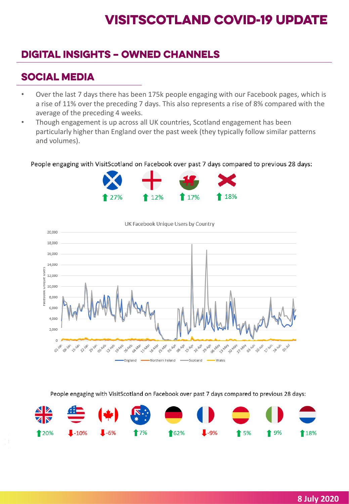## **DIGITAL INSIGHTS - OWNED CHANNELS**

## **SOCIAL MEDIA**

- Over the last 7 days there has been 175k people engaging with our Facebook pages, which is a rise of 11% over the preceding 7 days. This also represents a rise of 8% compared with the average of the preceding 4 weeks.
- Though engagement is up across all UK countries, Scotland engagement has been particularly higher than England over the past week (they typically follow similar patterns and volumes).

People engaging with VisitScotland on Facebook over past 7 days compared to previous 28 days:



UK Facebook Unique Users by Country 20,000 18,000 16,000 14.000 U<sub>5</sub>er 12,000 Ę 10,000 innok 8,000 6.000 4,000 2,000 0 **AS Mar IS AD** Ofo-May **P.3-May** 27-May ar Anar **Ol-Age** 22-Apr OA-Max 25-Max OB-ADY **Po** Apr 20 May O3-Jun OST-Felo **Al** rep 26-Feb 191880 01-18 10-Jun 1-Jun 24-Jun 22.138 29.138 England - Northern Ireland - Scotland -Wales

People engaging with VisitScotland on Facebook over past 7 days compared to previous 28 days:



**8 July 2020**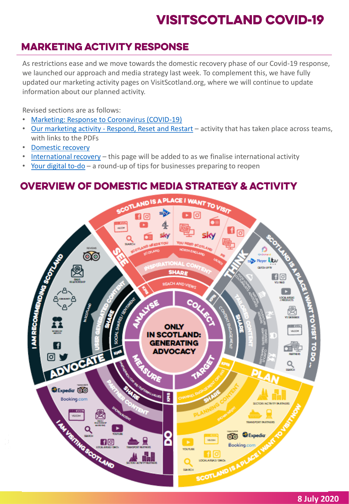# **VISITSCOTLAND COVID-19**

## **MARKETING ACTIVITY RESPONSE**

As restrictions ease and we move towards the domestic recovery phase of our Covid-19 response, we launched our approach and media strategy last week. To complement this, we have fully updated our marketing activity pages on VisitScotland.org, where we will continue to update information about our planned activity.

Revised sections are as follows:

- [Marketing: Response to Coronavirus \(COVID-19\)](https://www.visitscotland.org/about-us/what-we-do/marketing/covid19)
- Our marketing activity [Respond, Reset and Restart](https://www.visitscotland.org/about-us/what-we-do/marketing/covid19/activity) activity that has taken place across teams, with links to the PDFs
- [Domestic recovery](https://www.visitscotland.org/about-us/what-we-do/marketing/covid19/domestic-recovery)
- [International recovery](https://www.visitscotland.org/about-us/what-we-do/marketing/covid19/international-recovery) this page will be added to as we finalise international activity
- [Your digital to-do](https://www.visitscotland.org/supporting-your-business/advice/coronavirus/digital-guidance/digital-checklist) a round-up of tips for businesses preparing to reopen

#### **OVERVIEW OF DOMESTIC MEDIA STRATEGY & ACTIVITY**